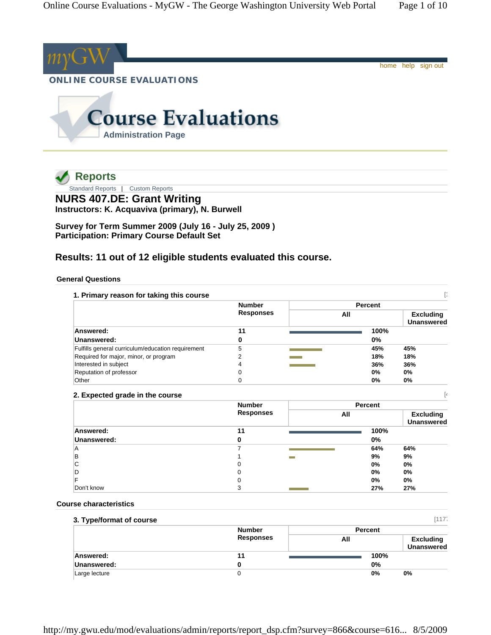

**Administration Page**

 **Reports**

Standard Reports | Custom Reports

**NURS 407.DE: Grant Writing Instructors: K. Acquaviva (primary), N. Burwell** 

**Survey for Term Summer 2009 (July 16 - July 25, 2009 ) Participation: Primary Course Default Set** 

# **Results: 11 out of 12 eligible students evaluated this course.**

# **General Questions**

|                                                   | <b>Number</b>    |     | <b>Percent</b> |                                       |
|---------------------------------------------------|------------------|-----|----------------|---------------------------------------|
|                                                   | <b>Responses</b> | All |                | <b>Excluding</b><br><b>Unanswered</b> |
| Answered:                                         | 11               |     | 100%           |                                       |
| Unanswered:                                       | 0                |     | 0%             |                                       |
| Fulfills general curriculum/education requirement | 5                |     | 45%            | 45%                                   |
| Required for major, minor, or program             |                  |     | 18%            | 18%                                   |
| Interested in subject                             | 4                |     | 36%            | 36%                                   |
| Reputation of professor                           |                  |     | $0\%$          | 0%                                    |
| Other                                             |                  |     | 0%             | 0%                                    |

# **2. Expected grade in the course** [4

|             | <b>Number</b><br><b>Responses</b> | <b>Percent</b>        |                                       |
|-------------|-----------------------------------|-----------------------|---------------------------------------|
|             |                                   | All                   | <b>Excluding</b><br><b>Unanswered</b> |
| Answered:   | 11                                |                       | 100%                                  |
| Unanswered: |                                   | 0%                    |                                       |
| A           |                                   |                       | 64%<br>64%                            |
| B           |                                   | 9%<br><b>Contract</b> | 9%                                    |
| С           |                                   | 0%                    | 0%                                    |
| D           |                                   | 0%                    | 0%                                    |
|             |                                   | 0%                    | 0%                                    |
| Don't know  |                                   |                       | 27%<br>27%                            |

# **Course characteristics**

| 3. Type/format of course |                  |         | [117]                                 |
|--------------------------|------------------|---------|---------------------------------------|
|                          | <b>Number</b>    | Percent |                                       |
|                          | <b>Responses</b> | All     | <b>Excluding</b><br><b>Unanswered</b> |
| Answered:                | 11               | 100%    |                                       |
| Unanswered:              |                  | 0%      |                                       |
| Large lecture            |                  | 0%      | 0%                                    |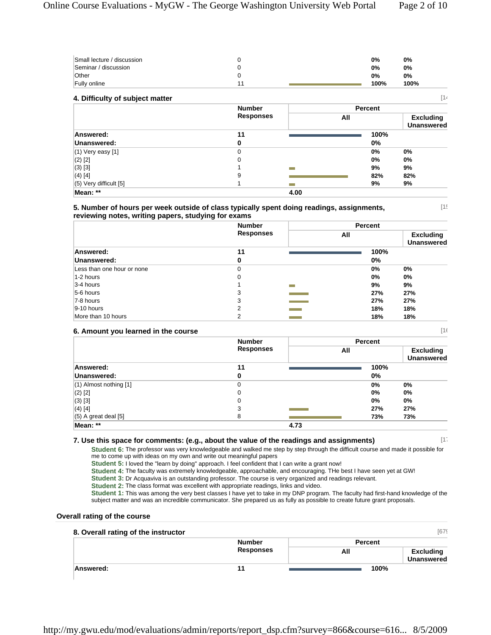| Small lecture / discussion |  | 0%   | 0%   |
|----------------------------|--|------|------|
| Seminar / discussion       |  | 0%   | 0%   |
| Other                      |  | 0%   | 0%   |
| <b>Fully online</b>        |  | 100% | 100% |

| 14<br>4. Difficulty of subject matter |                  |                   |     |                |                                       |
|---------------------------------------|------------------|-------------------|-----|----------------|---------------------------------------|
|                                       | <b>Number</b>    |                   |     | <b>Percent</b> |                                       |
|                                       | <b>Responses</b> |                   | All |                | <b>Excluding</b><br><b>Unanswered</b> |
| Answered:                             | 11               |                   |     | 100%           |                                       |
| Unanswered:                           | 0                |                   |     | 0%             |                                       |
| $(1)$ Very easy [1]                   | 0                |                   |     | 0%             | 0%                                    |
| $(2)$ [2]                             | $\Omega$         |                   |     | 0%             | 0%                                    |
| $(3)$ [3]                             |                  | <b>COLLECTION</b> |     | 9%             | 9%                                    |
| $(4)$ [4]                             | 9                |                   |     | 82%            | 82%                                   |
| $(5)$ Very difficult $[5]$            |                  |                   |     | 9%             | 9%                                    |
| Mean: **                              |                  | 4.00              |     |                |                                       |

#### **5. Number of hours per week outside of class typically spent doing readings, assignments, reviewing notes, writing papers, studying for exams**

|                            | <b>Number</b><br><b>Responses</b> |                          | Percent |      |                                       |
|----------------------------|-----------------------------------|--------------------------|---------|------|---------------------------------------|
|                            |                                   |                          | All     |      | <b>Excluding</b><br><b>Unanswered</b> |
| Answered:                  | 11                                |                          |         | 100% |                                       |
| Unanswered:                | 0                                 |                          |         | 0%   |                                       |
| Less than one hour or none | 0                                 |                          |         | 0%   | 0%                                    |
| 1-2 hours                  | 0                                 |                          |         | 0%   | 0%                                    |
| 3-4 hours                  |                                   | m.                       |         | 9%   | 9%                                    |
| $5-6$ hours                | 3                                 |                          |         | 27%  | 27%                                   |
| 7-8 hours                  | 3                                 |                          |         | 27%  | 27%                                   |
| $9-10$ hours               | າ                                 | <b>Contract Contract</b> |         | 18%  | 18%                                   |
| More than 10 hours         | າ                                 |                          |         | 18%  | 18%                                   |

## **6. Amount you learned in the course** [16

|                            | <b>Number</b><br><b>Responses</b> |      | <b>Percent</b> |                                       |  |
|----------------------------|-----------------------------------|------|----------------|---------------------------------------|--|
|                            |                                   |      | All            | <b>Excluding</b><br><b>Unanswered</b> |  |
| Answered:                  | 11                                |      | 100%           |                                       |  |
| Unanswered:                | 0                                 |      | $0\%$          |                                       |  |
| $(1)$ Almost nothing $[1]$ | 0                                 |      | 0%             | 0%                                    |  |
| $(2)$ [2]                  | 0                                 |      | 0%             | 0%                                    |  |
| $(3)$ [3]                  | 0                                 |      | 0%             | 0%                                    |  |
| $(4)$ [4]                  | 3                                 |      | 27%            | 27%                                   |  |
| $(5)$ A great deal [5]     | 8                                 |      | 73%            | 73%                                   |  |
| Mean: **                   |                                   | 4.73 |                |                                       |  |

## **7. Use this space for comments: (e.g., about the value of the readings and assignments)** [17

 $[15]$ 

**Student 6:** The professor was very knowledgeable and walked me step by step through the difficult course and made it possible for me to come up with ideas on my own and write out meaningful papers

**Student 5:** I loved the "learn by doing" approach. I feel confident that I can write a grant now!

**Student 4:** The faculty was extremely knowledgeable, approachable, and encouraging. THe best I have seen yet at GW!

**Student 3:** Dr Acquaviva is an outstanding professor. The course is very organized and readings relevant.

**Student 2:** The class format was excellent with appropriate readings, links and video.

**Student 1:** This was among the very best classes I have yet to take in my DNP program. The faculty had first-hand knowledge of the subject matter and was an incredible communicator. She prepared us as fully as possible to create future grant proposals.

#### **Overall rating of the course**

| 8. Overall rating of the instructor |                  |         | [679]                                 |
|-------------------------------------|------------------|---------|---------------------------------------|
|                                     | <b>Number</b>    | Percent |                                       |
|                                     | <b>Responses</b> | All     | <b>Excluding</b><br><b>Unanswered</b> |
| Answered:                           | 11               | 100%    |                                       |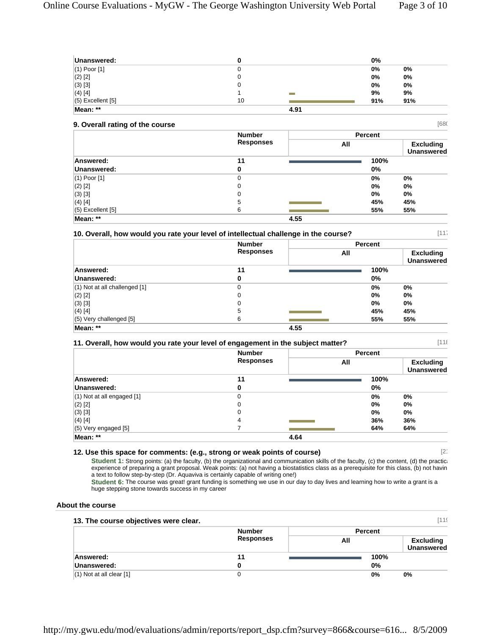| Unanswered:         |    |      | $0\%$ |       |
|---------------------|----|------|-------|-------|
| $(1)$ Poor $[1]$    |    |      | 0%    | 0%    |
| $(2)$ [2]           | u  |      | 0%    | $0\%$ |
| $(3)$ [3]           | u  |      | 0%    | $0\%$ |
| $(4)$ [4]           |    |      | 9%    | 9%    |
| $(5)$ Excellent [5] | 10 |      | 91%   | 91%   |
| Mean: **            |    | 4.91 |       |       |

| [680]<br>9. Overall rating of the course |                  |      |                |                                       |  |
|------------------------------------------|------------------|------|----------------|---------------------------------------|--|
|                                          | <b>Number</b>    |      | <b>Percent</b> |                                       |  |
|                                          | <b>Responses</b> |      | All            | <b>Excluding</b><br><b>Unanswered</b> |  |
| Answered:                                | 11               |      | 100%           |                                       |  |
| Unanswered:                              | 0                |      | $0\%$          |                                       |  |
| $(1)$ Poor $[1]$                         | 0                |      | 0%             | 0%                                    |  |
| $(2)$ [2]                                | 0                |      | 0%             | 0%                                    |  |
| $(3)$ [3]                                | 0                |      | 0%             | 0%                                    |  |
| $(4)$ [4]                                | 5                |      | 45%            | 45%                                   |  |
| $(5)$ Excellent $[5]$                    | 6                |      | 55%            | 55%                                   |  |
| Mean: **                                 |                  | 4.55 |                |                                       |  |

# **10. Overall, how would you rate your level of intellectual challenge in the course?** [117

|                                   | <b>Number</b><br><b>Responses</b> |      | <b>Percent</b> |                                       |
|-----------------------------------|-----------------------------------|------|----------------|---------------------------------------|
|                                   |                                   |      | All            | <b>Excluding</b><br><b>Unanswered</b> |
| Answered:                         | 11                                |      | 100%           |                                       |
| Unanswered:                       | 0                                 |      | $0\%$          |                                       |
| $(1)$ Not at all challenged $[1]$ | 0                                 |      | 0%             | $0\%$                                 |
| $(2)$ [2]                         | 0                                 |      | 0%             | $0\%$                                 |
| $(3)$ [3]                         | 0                                 |      | 0%             | $0\%$                                 |
| $(4)$ [4]                         | 5                                 |      | 45%            | 45%                                   |
| (5) Very challenged [5]           | 6                                 |      | 55%            | 55%                                   |
| Mean: **                          |                                   | 4.55 |                |                                       |

# **11. Overall, how would you rate your level of engagement in the subject matter?** [118

|                                | <b>Number</b><br><b>Responses</b> |      | <b>Percent</b> |                                       |  |
|--------------------------------|-----------------------------------|------|----------------|---------------------------------------|--|
|                                |                                   | All  |                | <b>Excluding</b><br><b>Unanswered</b> |  |
| Answered:                      | 11                                |      | 100%           |                                       |  |
| Unanswered:                    | 0                                 |      | $0\%$          |                                       |  |
| $(1)$ Not at all engaged $[1]$ | 0                                 |      | 0%             | $0\%$                                 |  |
| $(2)$ [2]                      | 0                                 |      | 0%             | 0%                                    |  |
| $(3)$ [3]                      | 0                                 |      | 0%             | 0%                                    |  |
| $(4)$ [4]                      | 4                                 |      | 36%            | 36%                                   |  |
| $(5)$ Very engaged $[5]$       |                                   |      | 64%            | 64%                                   |  |
| Mean: **                       |                                   | 4.64 |                |                                       |  |

# **12. Use this space for comments: (e.g., strong or weak points of course)** [21

Student 1: Strong points: (a) the faculty, (b) the organizational and communication skills of the faculty, (c) the content, (d) the practically experience of preparing a grant proposal. Weak points: (a) not having a biostatistics class as a prerequisite for this class, (b) not havin a text to follow step-by-step (Dr. Aquaviva is certainly capable of writing one!)

**Student 6:** The course was great! grant funding is something we use in our day to day lives and learning how to write a grant is a huge stepping stone towards success in my career

# **About the course**

|                              | <b>Number</b>    | <b>Percent</b> |                                       |
|------------------------------|------------------|----------------|---------------------------------------|
|                              | <b>Responses</b> | All            | <b>Excluding</b><br><b>Unanswered</b> |
| Answered:                    | 11               | 100%           |                                       |
| Unanswered:                  |                  | 0%             |                                       |
| $(1)$ Not at all clear $[1]$ |                  | 0%             | $0\%$                                 |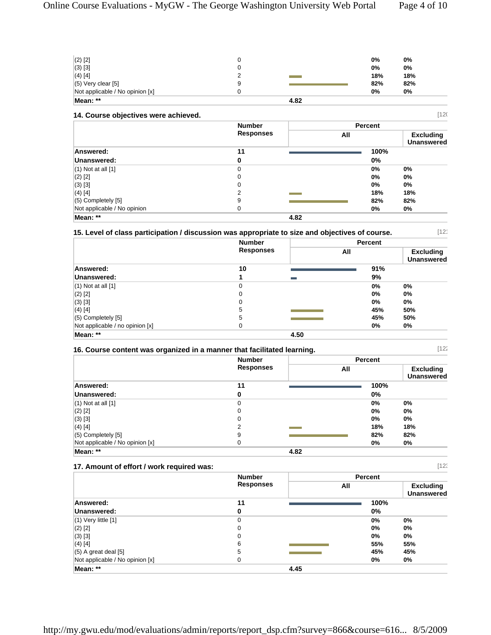| $(2)$ [2]                       |      | 0%  | 0%  |
|---------------------------------|------|-----|-----|
| $(3)$ [3]                       |      | 0%  | 0%  |
| $(4)$ [4]                       |      | 18% | 18% |
| $(5)$ Very clear [5]            |      | 82% | 82% |
| Not applicable / No opinion [x] |      | 0%  | 0%  |
| Mean: **                        | 4.82 |     |     |

# **14. Course objectives were achieved. 120**

|                             | <b>Number</b>    |      | Percent |                                       |
|-----------------------------|------------------|------|---------|---------------------------------------|
|                             | <b>Responses</b> | All  |         | <b>Excluding</b><br><b>Unanswered</b> |
| Answered:                   | 11               |      | 100%    |                                       |
| Unanswered:                 | 0                |      | $0\%$   |                                       |
| $(1)$ Not at all $[1]$      | 0                |      | 0%      | $0\%$                                 |
| $(2)$ [2]                   | 0                |      | 0%      | $0\%$                                 |
| $(3)$ [3]                   | 0                |      | 0%      | 0%                                    |
| $(4)$ [4]                   | ົ                |      | 18%     | 18%                                   |
| $(5)$ Completely $[5]$      | 9                |      | 82%     | 82%                                   |
| Not applicable / No opinion | 0                |      | 0%      | 0%                                    |
| Mean: **                    |                  | 4.82 |         |                                       |

# **15. Level of class participation / discussion was appropriate to size and objectives of course.** [121

 **Number Responses Percent All Excluding Unanswered Answered: 10 91% Unanswered: 1 9%** (1) Not at all [1] 0 **0% 0%** (2) [2] 0 **0% 0%** (3) [3] 0 **0% 0%** (4) [4] 5 **45% 50%** (5) Completely [5] 5 **45% 50%** Not applicable / no opinion [x] 0 **0% 0% Mean: \*\* 4.50** 

#### **16. Course content was organized in a manner that facilitated learning.** [122

 **Number Responses Percent All Excluding Unanswered Answered: 11 100% Unanswered: 0 0%** (1) Not at all [1] 0 **0% 0%** (2) [2] 0 **0% 0%** (3) [3] 0 **0% 0%** (4) [4] 2 **18% 18%** (5) Completely [5] 9 **82% 82%** Not applicable / No opinion [x] **0** 0% 0% 0% 0% **Mean: \*\* 4.82** 

#### **17. Amount of effort / work required was:** [123  **Number Responses Percent All Excluding Unanswered Answered: 11 100% Unanswered: 0 0%** (1) Very little [1] 0 **0% 0%** (2) [2] 0 **0% 0%** (3) [3] 0 **0% 0%** (4) [4] 6 **55% 55%** (5) A great deal [5] 5 **45% 45%** Not applicable / No opinion [x] 0 **0% 0% Mean: \*\* 4.45**

http://my.gwu.edu/mod/evaluations/admin/reports/report\_dsp.cfm?survey=866&course=616... 8/5/2009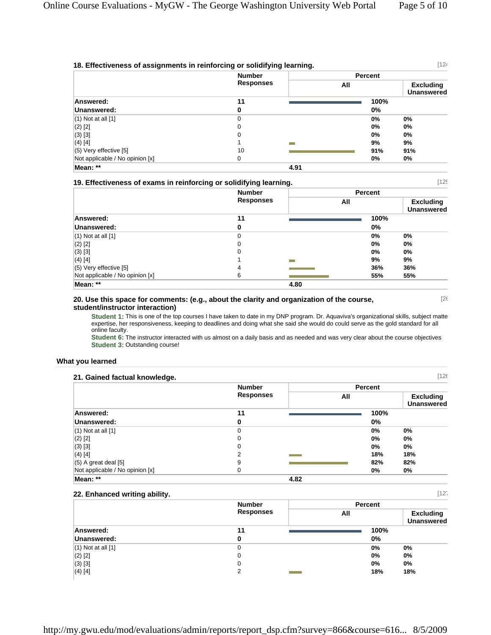[26

|                                 | <b>Number</b><br><b>Responses</b> |      | <b>Percent</b> |                                       |  |
|---------------------------------|-----------------------------------|------|----------------|---------------------------------------|--|
|                                 |                                   |      | All            | <b>Excluding</b><br><b>Unanswered</b> |  |
| Answered:                       | 11                                |      |                | 100%                                  |  |
| Unanswered:                     | 0                                 |      | 0%             |                                       |  |
| $(1)$ Not at all $[1]$          | $\Omega$                          |      | 0%             | 0%                                    |  |
| $(2)$ [2]                       | 0                                 |      | 0%             | 0%                                    |  |
| $(3)$ [3]                       | 0                                 |      | 0%             | 0%                                    |  |
| $(4)$ [4]                       |                                   |      | 9%             | 9%                                    |  |
| $(5)$ Very effective [5]        | 10                                |      | 91%            | 91%                                   |  |
| Not applicable / No opinion [x] | $\Omega$                          |      | 0%             | 0%                                    |  |
| Mean: **                        |                                   | 4.91 |                |                                       |  |

|                                 | <b>Number</b><br><b>Responses</b> |      |       | <b>Percent</b>                        |  |
|---------------------------------|-----------------------------------|------|-------|---------------------------------------|--|
|                                 |                                   |      | All   | <b>Excluding</b><br><b>Unanswered</b> |  |
| Answered:                       | 11                                |      | 100%  |                                       |  |
| Unanswered:                     | 0                                 |      | $0\%$ |                                       |  |
| $(1)$ Not at all $[1]$          | 0                                 |      | 0%    | $0\%$                                 |  |
| $(2)$ [2]                       | 0                                 |      | 0%    | 0%                                    |  |
| $(3)$ [3]                       | 0                                 |      | 0%    | $0\%$                                 |  |
| $(4)$ [4]                       |                                   |      | 9%    | 9%                                    |  |
| $(5)$ Very effective $[5]$      | 4                                 |      | 36%   | 36%                                   |  |
| Not applicable / No opinion [x] | 6                                 |      | 55%   | 55%                                   |  |
| Mean: **                        |                                   | 4.80 |       |                                       |  |

#### **20. Use this space for comments: (e.g., about the clarity and organization of the course, student/instructor interaction)**

**Student 1:** This is one of the top courses I have taken to date in my DNP program. Dr. Aquaviva's organizational skills, subject matte expertise, her responsiveness, keeping to deadlines and doing what she said she would do could serve as the gold standard for all online faculty.

**Student 6:** The instructor interacted with us almost on a daily basis and as needed and was very clear about the course objectives **Student 3:** Outstanding course!

#### **What you learned**

| [126]<br>21. Gained factual knowledge. |                  |      |       |                                       |  |
|----------------------------------------|------------------|------|-------|---------------------------------------|--|
|                                        | <b>Number</b>    |      |       | <b>Percent</b>                        |  |
|                                        | <b>Responses</b> |      | All   | <b>Excluding</b><br><b>Unanswered</b> |  |
| Answered:                              | 11               |      | 100%  |                                       |  |
| Unanswered:                            | 0                |      | $0\%$ |                                       |  |
| $(1)$ Not at all $[1]$                 | 0                |      | 0%    | 0%                                    |  |
| $(2)$ [2]                              | 0                |      | 0%    | 0%                                    |  |
| $(3)$ [3]                              | 0                |      | 0%    | 0%                                    |  |
| (4) [4]                                | 2                |      | 18%   | 18%                                   |  |
| $(5)$ A great deal $[5]$               | 9                |      | 82%   | 82%                                   |  |
| Not applicable / No opinion [x]        | 0                |      | 0%    | 0%                                    |  |
| Mean: **                               |                  | 4.82 |       |                                       |  |

## **22. Enhanced writing ability.** [127

|                        | <b>Number</b>    | <b>Percent</b> |                                       |
|------------------------|------------------|----------------|---------------------------------------|
|                        | <b>Responses</b> | All            | <b>Excluding</b><br><b>Unanswered</b> |
| Answered:              | 11               | 100%           |                                       |
| Unanswered:            |                  | $0\%$          |                                       |
| $(1)$ Not at all $[1]$ | 0                | 0%             | 0%                                    |
| $(2)$ [2]              | 0                | 0%             | $0\%$                                 |
| $(3)$ [3]              | 0                | 0%             | 0%                                    |
| $(4)$ [4]              | ົ                | 18%            | 18%                                   |

http://my.gwu.edu/mod/evaluations/admin/reports/report\_dsp.cfm?survey=866&course=616... 8/5/2009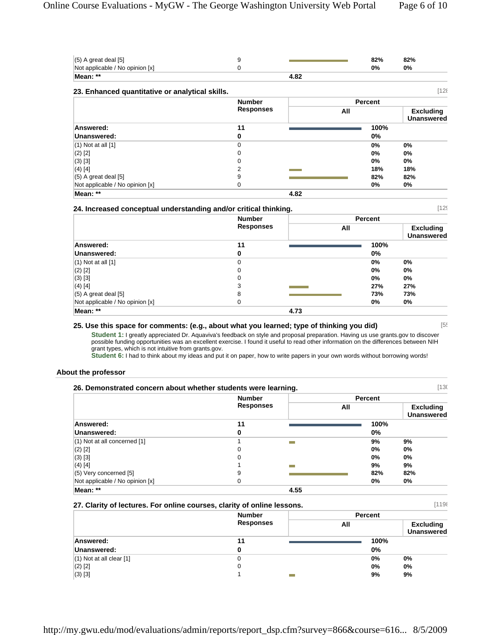| $(5)$ A great deal $[5]$                        | 9                |      | 82%            | 82%                                   |
|-------------------------------------------------|------------------|------|----------------|---------------------------------------|
| Not applicable / No opinion [x]                 | 0                |      | 0%             | 0%                                    |
| Mean: **                                        |                  | 4.82 |                |                                       |
| 23. Enhanced quantitative or analytical skills. |                  |      |                | 128                                   |
|                                                 | <b>Number</b>    |      | <b>Percent</b> |                                       |
|                                                 | <b>Responses</b> |      | All            | <b>Excluding</b><br><b>Unanswered</b> |
| Answered:                                       | 11               |      | 100%           |                                       |
| Unanswered:                                     | 0                |      | 0%             |                                       |
| $(1)$ Not at all $[1]$                          | 0                |      | 0%             | 0%                                    |
| $(2)$ [2]                                       | $\Omega$         |      | 0%             | 0%                                    |
| $(3)$ [3]                                       | 0                |      | 0%             | 0%                                    |
| $(4)$ [4]                                       | 2                |      | 18%            | 18%                                   |
| $(5)$ A great deal $[5]$                        | 9                |      | 82%            | 82%                                   |
| Not applicable / No opinion [x]                 | 0                |      | 0%             | 0%                                    |
| Mean: **                                        |                  | 4.82 |                |                                       |

| 24. Increased conceptual understanding and/or critical thinking. |                                   |      |     | [129]          |                                       |
|------------------------------------------------------------------|-----------------------------------|------|-----|----------------|---------------------------------------|
|                                                                  | <b>Number</b><br><b>Responses</b> |      |     | <b>Percent</b> |                                       |
|                                                                  |                                   |      | All |                | <b>Excluding</b><br><b>Unanswered</b> |
| Answered:                                                        | 11                                |      |     | 100%           |                                       |
| Unanswered:                                                      | 0                                 |      |     | 0%             |                                       |
| $(1)$ Not at all $[1]$                                           | 0                                 |      |     | 0%             | 0%                                    |
| $(2)$ [2]                                                        | $\Omega$                          |      |     | 0%             | 0%                                    |
| $(3)$ [3]                                                        | 0                                 |      |     | 0%             | 0%                                    |
| (4) [4]                                                          | 3                                 |      |     | 27%            | 27%                                   |
| $(5)$ A great deal $[5]$                                         | 8                                 |      |     | 73%            | 73%                                   |
| Not applicable / No opinion [x]                                  | 0                                 |      |     | 0%             | 0%                                    |
| Mean: **                                                         |                                   | 4.73 |     |                |                                       |

# **25. Use this space for comments: (e.g., about what you learned; type of thinking you did)** [55

**Student 1:** I greatly appreciated Dr. Aquaviva's feedback on style and proposal preparation. Having us use grants.gov to discover possible funding opportunities was an excellent exercise. I found it useful to read other information on the differences between NIH grant types, which is not intuitive from grants.gov.

**Student 6:** I had to think about my ideas and put it on paper, how to write papers in your own words without borrowing words!

#### **About the professor**

| 26. Demonstrated concern about whether students were learning. |                  | [130]          |       |                                       |
|----------------------------------------------------------------|------------------|----------------|-------|---------------------------------------|
|                                                                | <b>Number</b>    |                |       |                                       |
|                                                                | <b>Responses</b> |                | All   | <b>Excluding</b><br><b>Unanswered</b> |
| Answered:                                                      | 11               |                | 100%  |                                       |
| Unanswered:                                                    | 0                |                | $0\%$ |                                       |
| (1) Not at all concerned [1]                                   |                  | <b>College</b> | 9%    | 9%                                    |
| $(2)$ [2]                                                      | 0                |                | 0%    | 0%                                    |
| $(3)$ [3]                                                      | 0                |                | 0%    | 0%                                    |
| $(4)$ [4]                                                      |                  | -              | 9%    | 9%                                    |
| (5) Very concerned [5]                                         | 9                |                | 82%   | 82%                                   |
| Not applicable / No opinion [x]                                | 0                |                | 0%    | 0%                                    |
| Mean: **                                                       |                  | 4.55           |       |                                       |

|                                                                                         | 27. Clarity of lectures. For online courses, clarity of online lessons. |                | 11198                                 |
|-----------------------------------------------------------------------------------------|-------------------------------------------------------------------------|----------------|---------------------------------------|
|                                                                                         | <b>Number</b>                                                           | <b>Percent</b> |                                       |
|                                                                                         | <b>Responses</b>                                                        | All            | <b>Excluding</b><br><b>Unanswered</b> |
| Answered:                                                                               | 11                                                                      | 100%           |                                       |
| Unanswered:                                                                             |                                                                         | 0%             |                                       |
| $(A)$ M $\rightarrow$ $A$ $\rightarrow$ $B$ $\rightarrow$ $B$ $\rightarrow$ $B$ $A$ $B$ | $\sim$                                                                  | $\mathbf{a}$   | $\mathbf{a}$                          |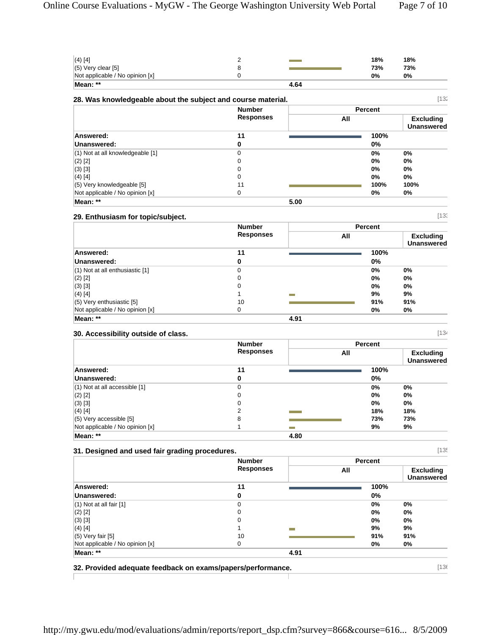| Mean: **<br>4.64                |            |
|---------------------------------|------------|
| Not applicable / No opinion [x] | 0%<br>0%   |
| $(5)$ Very clear [5]            | 73%<br>73% |
| $(4)$ [4]                       | 18%<br>18% |

|                                      | <b>Number</b>    | <b>Percent</b> |                                       |
|--------------------------------------|------------------|----------------|---------------------------------------|
|                                      | <b>Responses</b> | All            | <b>Excluding</b><br><b>Unanswered</b> |
| Answered:                            | 11               | 100%           |                                       |
| Unanswered:                          | 0                | $0\%$          |                                       |
| $(1)$ Not at all knowledgeable $[1]$ | 0                | 0%             | $0\%$                                 |
| $(2)$ [2]                            | 0                | 0%             | 0%                                    |
| $(3)$ [3]                            | 0                | 0%             | 0%                                    |
| $(4)$ [4]                            | 0                | $0\%$          | 0%                                    |
| (5) Very knowledgeable [5]           | 11               | 100%           | 100%                                  |
| Not applicable / No opinion [x]      | 0                | 0%             | 0%                                    |

# **29. Enthusiasm for topic/subject.** [133

|                                     | <b>Number</b><br><b>Responses</b> |      |     | Percent |                                       |
|-------------------------------------|-----------------------------------|------|-----|---------|---------------------------------------|
|                                     |                                   |      | All |         | <b>Excluding</b><br><b>Unanswered</b> |
| Answered:                           | 11                                |      |     | 100%    |                                       |
| Unanswered:                         | 0                                 |      |     | 0%      |                                       |
| $(1)$ Not at all enthusiastic $[1]$ | 0                                 |      |     | 0%      | $0\%$                                 |
| $(2)$ [2]                           | 0                                 |      |     | 0%      | $0\%$                                 |
| $(3)$ [3]                           | 0                                 |      |     | 0%      | $0\%$                                 |
| $(4)$ [4]                           |                                   |      |     | 9%      | 9%                                    |
| $(5)$ Very enthusiastic [5]         | 10                                |      |     | 91%     | 91%                                   |
| Not applicable / No opinion [x]     | 0                                 |      |     | 0%      | 0%                                    |
| Mean: **                            |                                   | 4.91 |     |         |                                       |

# **30. Accessibility outside of class.** [134

г

|                                   | <b>Number</b><br><b>Responses</b> |      |     | Percent |                                       |
|-----------------------------------|-----------------------------------|------|-----|---------|---------------------------------------|
|                                   |                                   |      | All |         | <b>Excluding</b><br><b>Unanswered</b> |
| Answered:                         | 11                                |      |     | 100%    |                                       |
| Unanswered:                       | 0                                 |      |     | 0%      |                                       |
| $(1)$ Not at all accessible $[1]$ | 0                                 |      |     | 0%      | 0%                                    |
| $(2)$ [2]                         | 0                                 |      |     | 0%      | 0%                                    |
| $(3)$ [3]                         | 0                                 |      |     | 0%      | 0%                                    |
| $(4)$ [4]                         |                                   |      |     | 18%     | 18%                                   |
| $(5)$ Very accessible [5]         | 8                                 |      |     | 73%     | 73%                                   |
| Not applicable / No opinion [x]   |                                   |      |     | 9%      | 9%                                    |
| Mean: **                          |                                   | 4.80 |     |         |                                       |

## **31. Designed and used fair grading procedures.** [135

|                                 | <b>Number</b><br><b>Responses</b> |      |     | <b>Percent</b> |                                       |
|---------------------------------|-----------------------------------|------|-----|----------------|---------------------------------------|
|                                 |                                   |      | All |                | <b>Excluding</b><br><b>Unanswered</b> |
| Answered:                       | 11                                |      |     | 100%           |                                       |
| Unanswered:                     | 0                                 |      |     | $0\%$          |                                       |
| $(1)$ Not at all fair $[1]$     | 0                                 |      |     | $0\%$          | 0%                                    |
| $(2)$ [2]                       | 0                                 |      |     | $0\%$          | 0%                                    |
| $(3)$ [3]                       | 0                                 |      |     | $0\%$          | 0%                                    |
| $(4)$ [4]                       |                                   |      |     | 9%             | 9%                                    |
| $(5)$ Very fair $[5]$           | 10                                |      |     | 91%            | 91%                                   |
| Not applicable / No opinion [x] | 0                                 |      |     | 0%             | 0%                                    |
| Mean: **                        |                                   | 4.91 |     |                |                                       |

**32. Provided adequate feedback on exams/papers/performance.** [136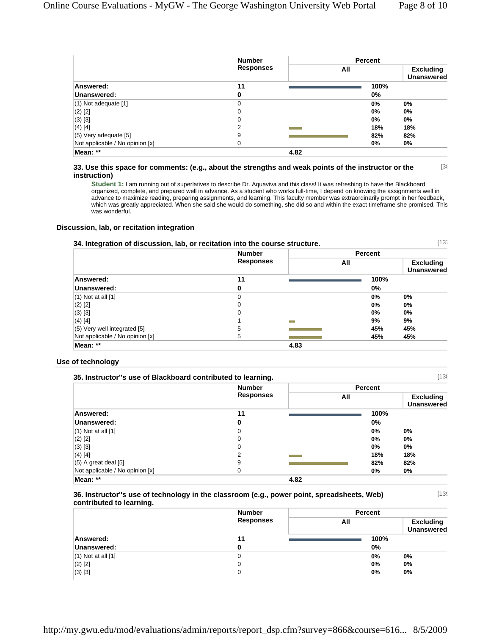[139]

|                                 | <b>Number</b><br><b>Responses</b> |      |     | <b>Percent</b> |                                       |
|---------------------------------|-----------------------------------|------|-----|----------------|---------------------------------------|
|                                 |                                   |      | All |                | <b>Excluding</b><br><b>Unanswered</b> |
| Answered:                       | 11                                |      |     | 100%           |                                       |
| Unanswered:                     | 0                                 |      |     | 0%             |                                       |
| (1) Not adequate [1]            | 0                                 |      |     | 0%             | $0\%$                                 |
| $(2)$ [2]                       | 0                                 |      |     | 0%             | $0\%$                                 |
| (3) [3]                         | $\Omega$                          |      |     | 0%             | 0%                                    |
| (4) [4]                         | 2                                 |      |     | 18%            | 18%                                   |
| (5) Very adequate [5]           | 9                                 |      |     | 82%            | 82%                                   |
| Not applicable / No opinion [x] | $\Omega$                          |      |     | 0%             | 0%                                    |
| Mean: **                        |                                   | 4.82 |     |                |                                       |

#### **33. Use this space for comments: (e.g., about the strengths and weak points of the instructor or the instruction)** [38

**Student 1:** I am running out of superlatives to describe Dr. Aquaviva and this class! It was refreshing to have the Blackboard organized, complete, and prepared well in advance. As a student who works full-time, I depend on knowing the assignments well in advance to maximize reading, preparing assignments, and learning. This faculty member was extraordinarily prompt in her feedback, which was greatly appreciated. When she said she would do something, she did so and within the exact timeframe she promised. This was wonderful.

#### **Discussion, lab, or recitation integration**

| [13]<br>34. Integration of discussion, lab, or recitation into the course structure. |                                   |      |                |                                       |
|--------------------------------------------------------------------------------------|-----------------------------------|------|----------------|---------------------------------------|
|                                                                                      | <b>Number</b><br><b>Responses</b> |      | <b>Percent</b> |                                       |
|                                                                                      |                                   |      | All            | <b>Excluding</b><br><b>Unanswered</b> |
| Answered:                                                                            | 11                                |      | 100%           |                                       |
| Unanswered:                                                                          | 0                                 |      | $0\%$          |                                       |
| $(1)$ Not at all $[1]$                                                               | 0                                 |      | 0%             | $0\%$                                 |
| $(2)$ [2]                                                                            | 0                                 |      | 0%             | 0%                                    |
| $(3)$ [3]                                                                            | 0                                 |      | 0%             | 0%                                    |
| $(4)$ [4]                                                                            |                                   | m.   | 9%             | 9%                                    |
| $(5)$ Very well integrated $[5]$                                                     | 5                                 |      | 45%            | 45%                                   |
| Not applicable / No opinion [x]                                                      | 5                                 |      | 45%            | 45%                                   |
| Mean: **                                                                             |                                   | 4.83 |                |                                       |

#### **Use of technology**

| 138<br>35. Instructor"s use of Blackboard contributed to learning. |                                   |      |                |                                       |
|--------------------------------------------------------------------|-----------------------------------|------|----------------|---------------------------------------|
|                                                                    | <b>Number</b><br><b>Responses</b> |      | <b>Percent</b> |                                       |
|                                                                    |                                   | All  |                | <b>Excluding</b><br><b>Unanswered</b> |
| Answered:                                                          | 11                                |      | 100%           |                                       |
| Unanswered:                                                        | 0                                 |      | $0\%$          |                                       |
| $(1)$ Not at all $[1]$                                             | 0                                 |      | 0%             | 0%                                    |
| $(2)$ [2]                                                          | 0                                 |      | 0%             | 0%                                    |
| $(3)$ [3]                                                          | 0                                 |      | 0%             | 0%                                    |
| $(4)$ [4]                                                          | າ                                 |      | 18%            | 18%                                   |
| $(5)$ A great deal $[5]$                                           | 9                                 |      | 82%            | 82%                                   |
| Not applicable / No opinion [x]                                    | 0                                 |      | 0%             | 0%                                    |
| Mean: **                                                           |                                   | 4.82 |                |                                       |

#### **36. Instructor''s use of technology in the classroom (e.g., power point, spreadsheets, Web) contributed to learning.**

|                        | <b>Number</b> | <b>Percent</b>                        |       |
|------------------------|---------------|---------------------------------------|-------|
| Responses              | All           | <b>Excluding</b><br><b>Unanswered</b> |       |
| Answered:              | 11            | 100%                                  |       |
| Unanswered:            |               | 0%                                    |       |
| $(1)$ Not at all $[1]$ | υ             | 0%                                    | $0\%$ |
| $(2)$ [2]              |               | 0%                                    | $0\%$ |
| $(3)$ [3]              |               | 0%                                    | 0%    |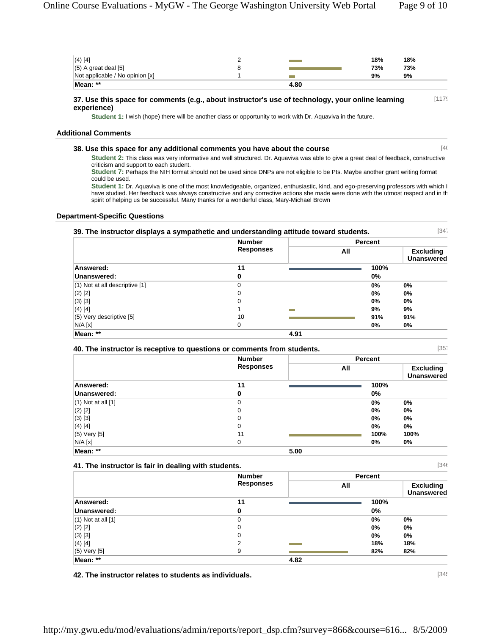| $(4)$ [4]                       |      | 18% | 18% |
|---------------------------------|------|-----|-----|
| $(5)$ A great deal $[5]$        |      | 73% | 73% |
| Not applicable / No opinion [x] |      | 9%  | 9%  |
| Mean: **                        | 4.80 |     |     |

#### **37. Use this space for comments (e.g., about instructor's use of technology, your online learning experience)** [1179]

**Student 1:** I wish (hope) there will be another class or opportunity to work with Dr. Aquaviva in the future.

#### **Additional Comments**

#### **38. Use this space for any additional comments you have about the course** [40

**Student 2:** This class was very informative and well structured. Dr. Aquaviva was able to give a great deal of feedback, constructive criticism and support to each student.

**Student 7:** Perhaps the NIH format should not be used since DNPs are not eligible to be PIs. Maybe another grant writing format could be used.

**Student 1:** Dr. Aquaviva is one of the most knowledgeable, organized, enthusiastic, kind, and ego-preserving professors with which I have studied. Her feedback was always constructive and any corrective actions she made were done with the utmost respect and in th spirit of helping us be successful. Many thanks for a wonderful class, Mary-Michael Brown

#### **Department-Specific Questions**

| 39. The instructor displays a sympathetic and understanding attitude toward students. |                                   |      |                |      | [34]                                  |
|---------------------------------------------------------------------------------------|-----------------------------------|------|----------------|------|---------------------------------------|
|                                                                                       | <b>Number</b><br><b>Responses</b> |      | <b>Percent</b> |      |                                       |
|                                                                                       |                                   |      | All            |      | <b>Excluding</b><br><b>Unanswered</b> |
| Answered:                                                                             | 11                                |      |                | 100% |                                       |
| Unanswered:                                                                           | 0                                 |      |                | 0%   |                                       |
| $(1)$ Not at all descriptive $[1]$                                                    | 0                                 |      |                | 0%   | $0\%$                                 |
| $(2)$ [2]                                                                             | 0                                 |      |                | 0%   | 0%                                    |
| $(3)$ [3]                                                                             | 0                                 |      |                | 0%   | 0%                                    |
| $(4)$ [4]                                                                             |                                   |      |                | 9%   | 9%                                    |
| (5) Very descriptive [5]                                                              | 10                                |      |                | 91%  | 91%                                   |
| N/A [x]                                                                               | 0                                 |      |                | 0%   | 0%                                    |
| Mean: **                                                                              |                                   | 4.91 |                |      |                                       |

| 40. The instructor is receptive to questions or comments from students. |  |
|-------------------------------------------------------------------------|--|
|-------------------------------------------------------------------------|--|

|                        | <b>Number</b>    | <b>Percent</b> |                                       |
|------------------------|------------------|----------------|---------------------------------------|
|                        | <b>Responses</b> | All            | <b>Excluding</b><br><b>Unanswered</b> |
| Answered:              | 11               | 100%           |                                       |
| Unanswered:            | 0                | 0%             |                                       |
| $(1)$ Not at all $[1]$ | 0                | 0%             | 0%                                    |
| $(2)$ [2]              | 0                | $0\%$          | 0%                                    |
| $(3)$ [3]              | 0                | 0%             | 0%                                    |
| $(4)$ [4]              | 0                | $0\%$          | 0%                                    |
| $(5)$ Very $[5]$       | 11               | 100%           | 100%                                  |
| N/A [x]                | 0                | 0%             | 0%                                    |
| Mean: **               | 5.00             |                |                                       |

|                        | <b>Number</b>    |      | <b>Percent</b> |                                       |
|------------------------|------------------|------|----------------|---------------------------------------|
|                        | <b>Responses</b> |      | All            | <b>Excluding</b><br><b>Unanswered</b> |
| Answered:              | 11               |      | 100%           |                                       |
| Unanswered:            | 0                |      | $0\%$          |                                       |
| $(1)$ Not at all $[1]$ | 0                |      | 0%             | 0%                                    |
| $(2)$ [2]              | 0                |      | 0%             | 0%                                    |
| $(3)$ [3]              | 0                |      | 0%             | 0%                                    |
| $(4)$ [4]              | ◠                |      | 18%            | 18%                                   |
| (5) Very [5]           | 9                |      | 82%            | 82%                                   |
| Mean: **               |                  | 4.82 |                |                                       |

**42. The instructor relates to students as individuals.** [345